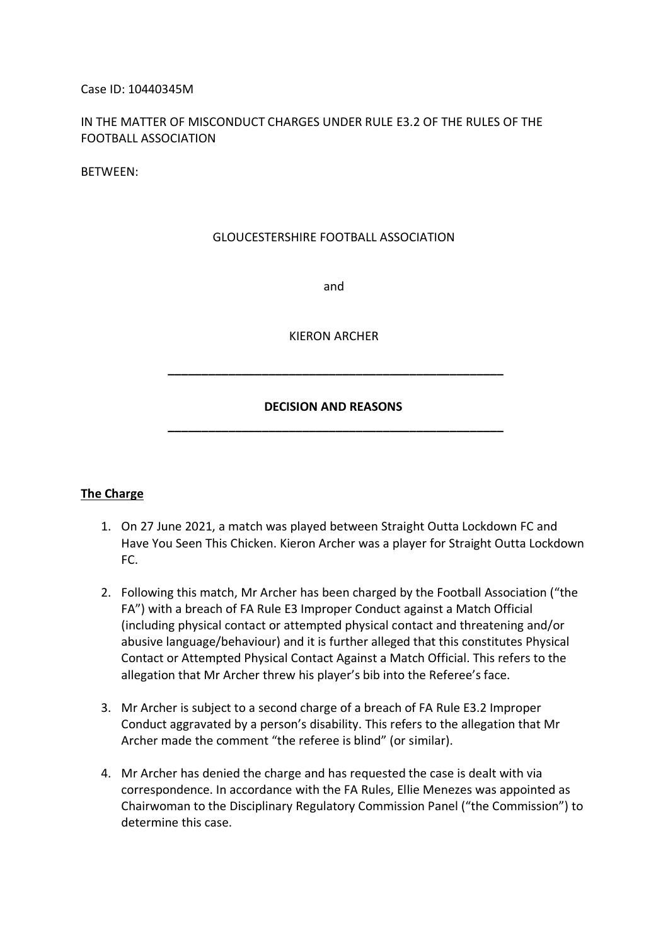#### Case ID: 10440345M

## IN THE MATTER OF MISCONDUCT CHARGES UNDER RULE E3.2 OF THE RULES OF THE FOOTBALL ASSOCIATION

BETWEEN:

#### GLOUCESTERSHIRE FOOTBALL ASSOCIATION

and

KIERON ARCHER

# **DECISION AND REASONS \_\_\_\_\_\_\_\_\_\_\_\_\_\_\_\_\_\_\_\_\_\_\_\_\_\_\_\_\_\_\_\_\_\_\_\_\_\_\_\_\_\_\_\_\_\_\_\_\_\_**

 **\_\_\_\_\_\_\_\_\_\_\_\_\_\_\_\_\_\_\_\_\_\_\_\_\_\_\_\_\_\_\_\_\_\_\_\_\_\_\_\_\_\_\_\_\_\_\_\_\_\_**

#### **The Charge**

- 1. On 27 June 2021, a match was played between Straight Outta Lockdown FC and Have You Seen This Chicken. Kieron Archer was a player for Straight Outta Lockdown FC.
- 2. Following this match, Mr Archer has been charged by the Football Association ("the FA") with a breach of FA Rule E3 Improper Conduct against a Match Official (including physical contact or attempted physical contact and threatening and/or abusive language/behaviour) and it is further alleged that this constitutes Physical Contact or Attempted Physical Contact Against a Match Official. This refers to the allegation that Mr Archer threw his player's bib into the Referee's face.
- 3. Mr Archer is subject to a second charge of a breach of FA Rule E3.2 Improper Conduct aggravated by a person's disability. This refers to the allegation that Mr Archer made the comment "the referee is blind" (or similar).
- 4. Mr Archer has denied the charge and has requested the case is dealt with via correspondence. In accordance with the FA Rules, Ellie Menezes was appointed as Chairwoman to the Disciplinary Regulatory Commission Panel ("the Commission") to determine this case.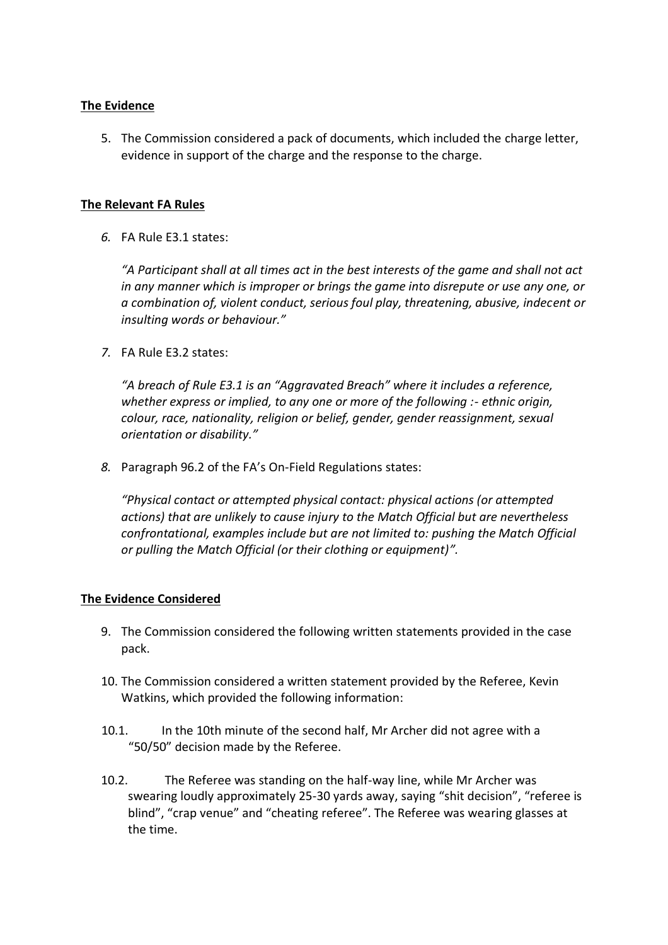### **The Evidence**

5. The Commission considered a pack of documents, which included the charge letter, evidence in support of the charge and the response to the charge.

### **The Relevant FA Rules**

*6.* FA Rule E3.1 states:

*"A Participant shall at all times act in the best interests of the game and shall not act in any manner which is improper or brings the game into disrepute or use any one, or a combination of, violent conduct, serious foul play, threatening, abusive, indecent or insulting words or behaviour."*

*7.* FA Rule E3.2 states:

*"A breach of Rule E3.1 is an "Aggravated Breach" where it includes a reference, whether express or implied, to any one or more of the following :- ethnic origin, colour, race, nationality, religion or belief, gender, gender reassignment, sexual orientation or disability."*

*8.* Paragraph 96.2 of the FA's On-Field Regulations states:

*"Physical contact or attempted physical contact: physical actions (or attempted actions) that are unlikely to cause injury to the Match Official but are nevertheless confrontational, examples include but are not limited to: pushing the Match Official or pulling the Match Official (or their clothing or equipment)".*

#### **The Evidence Considered**

- 9. The Commission considered the following written statements provided in the case pack.
- 10. The Commission considered a written statement provided by the Referee, Kevin Watkins, which provided the following information:
- 10.1. In the 10th minute of the second half, Mr Archer did not agree with a "50/50" decision made by the Referee.
- 10.2. The Referee was standing on the half-way line, while Mr Archer was swearing loudly approximately 25-30 yards away, saying "shit decision", "referee is blind", "crap venue" and "cheating referee". The Referee was wearing glasses at the time.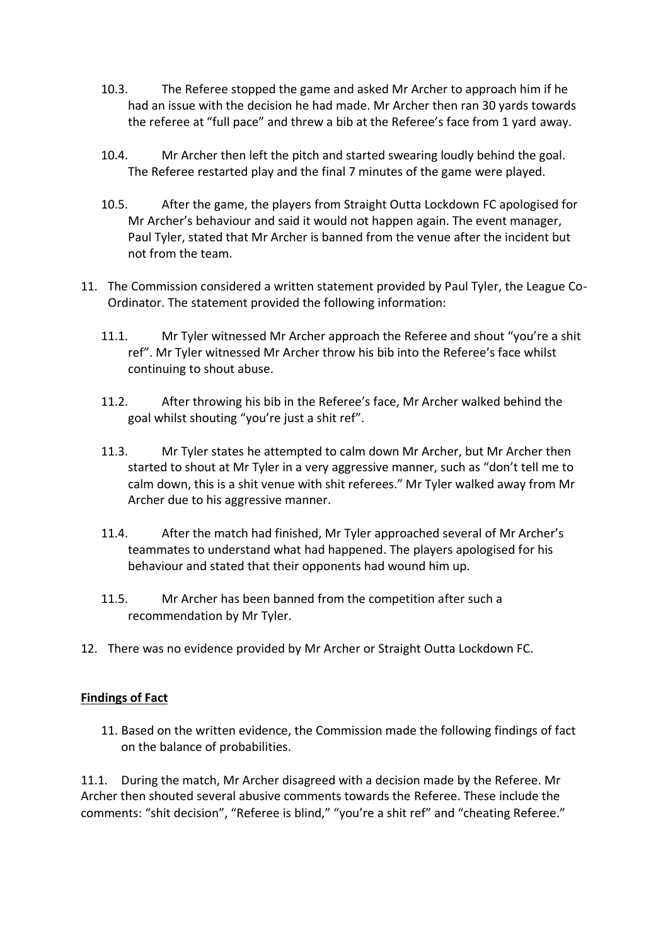- 10.3. The Referee stopped the game and asked Mr Archer to approach him if he had an issue with the decision he had made. Mr Archer then ran 30 yards towards the referee at "full pace" and threw a bib at the Referee's face from 1 yard away.
- 10.4. Mr Archer then left the pitch and started swearing loudly behind the goal. The Referee restarted play and the final 7 minutes of the game were played.
- 10.5. After the game, the players from Straight Outta Lockdown FC apologised for Mr Archer's behaviour and said it would not happen again. The event manager, Paul Tyler, stated that Mr Archer is banned from the venue after the incident but not from the team.
- 11. The Commission considered a written statement provided by Paul Tyler, the League Co-Ordinator. The statement provided the following information:
	- 11.1. Mr Tyler witnessed Mr Archer approach the Referee and shout "you're a shit ref". Mr Tyler witnessed Mr Archer throw his bib into the Referee's face whilst continuing to shout abuse.
	- 11.2. After throwing his bib in the Referee's face, Mr Archer walked behind the goal whilst shouting "you're just a shit ref".
	- 11.3. Mr Tyler states he attempted to calm down Mr Archer, but Mr Archer then started to shout at Mr Tyler in a very aggressive manner, such as "don't tell me to calm down, this is a shit venue with shit referees." Mr Tyler walked away from Mr Archer due to his aggressive manner.
	- 11.4. After the match had finished, Mr Tyler approached several of Mr Archer's teammates to understand what had happened. The players apologised for his behaviour and stated that their opponents had wound him up.
	- 11.5. Mr Archer has been banned from the competition after such a recommendation by Mr Tyler.
- 12. There was no evidence provided by Mr Archer or Straight Outta Lockdown FC.

# **Findings of Fact**

11. Based on the written evidence, the Commission made the following findings of fact on the balance of probabilities.

11.1. During the match, Mr Archer disagreed with a decision made by the Referee. Mr Archer then shouted several abusive comments towards the Referee. These include the comments: "shit decision", "Referee is blind," "you're a shit ref" and "cheating Referee."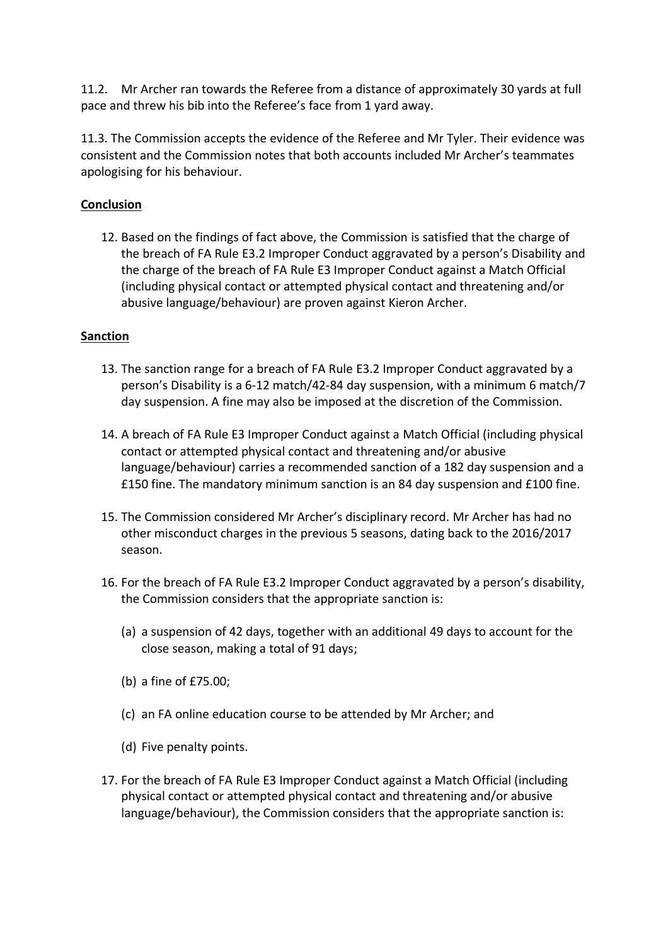11.2. Mr Archer ran towards the Referee from a distance of approximately 30 yards at full pace and threw his bib into the Referee's face from 1 yard away.

11.3. The Commission accepts the evidence of the Referee and Mr Tyler. Their evidence was consistent and the Commission notes that both accounts included Mr Archer's teammates apologising for his behaviour.

# **Conclusion**

12. Based on the findings of fact above, the Commission is satisfied that the charge of the breach of FA Rule E3.2 Improper Conduct aggravated by a person's Disability and the charge of the breach of FA Rule E3 Improper Conduct against a Match Official (including physical contact or attempted physical contact and threatening and/or abusive language/behaviour) are proven against Kieron Archer.

### **Sanction**

- 13. The sanction range for a breach of FA Rule E3.2 Improper Conduct aggravated by a person's Disability is a 6-12 match/42-84 day suspension, with a minimum 6 match/7 day suspension. A fine may also be imposed at the discretion of the Commission.
- 14. A breach of FA Rule E3 Improper Conduct against a Match Official (including physical contact or attempted physical contact and threatening and/or abusive language/behaviour) carries a recommended sanction of a 182 day suspension and a £150 fine. The mandatory minimum sanction is an 84 day suspension and £100 fine.
- 15. The Commission considered Mr Archer's disciplinary record. Mr Archer has had no other misconduct charges in the previous 5 seasons, dating back to the 2016/2017 season.
- 16. For the breach of FA Rule E3.2 Improper Conduct aggravated by a person's disability, the Commission considers that the appropriate sanction is:
	- (a) a suspension of 42 days, together with an additional 49 days to account for the close season, making a total of 91 days;
	- (b) a fine of £75.00;
	- (c) an FA online education course to be attended by Mr Archer; and
	- (d) Five penalty points.
- 17. For the breach of FA Rule E3 Improper Conduct against a Match Official (including physical contact or attempted physical contact and threatening and/or abusive language/behaviour), the Commission considers that the appropriate sanction is: